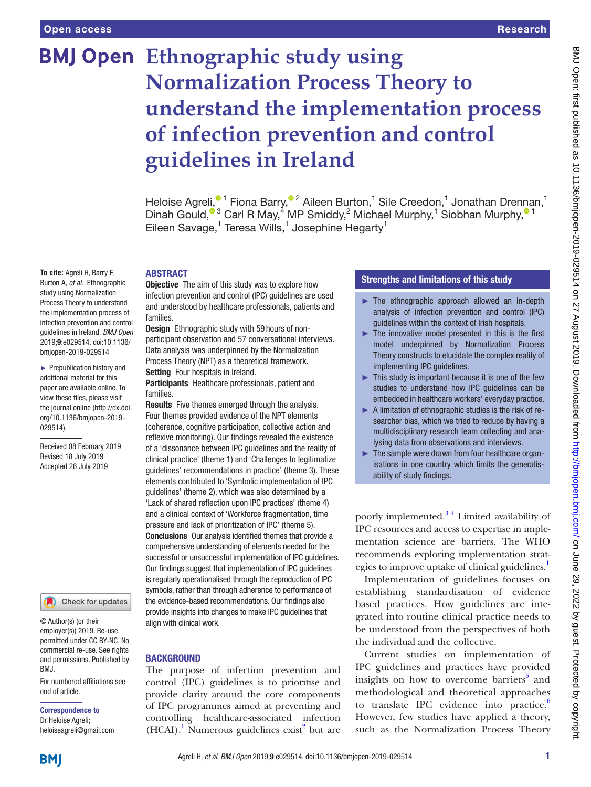**To cite:** Agreli H, Barry F, Burton A, *et al*. Ethnographic study using Normalization Process Theory to understand the implementation process of infection prevention and control guidelines in Ireland. *BMJ Open* 2019;9:e029514. doi:10.1136/ bmjopen-2019-029514 ► Prepublication history and additional material for this paper are available online. To view these files, please visit the journal online (http://dx.doi. org/10.1136/bmjopen-2019-

029514).

Received 08 February 2019 Revised 18 July 2019 Accepted 26 July 2019

# **BMJ Open Ethnographic study using Normalization Process Theory to understand the implementation process of infection prevention and control guidelines in Ireland**

Heloise Agreli[,](http://orcid.org/0000-0002-7234-836X)<sup>® 1</sup> Fiona Barry,<sup>® 2</sup> Aileen Burton,<sup>1</sup> Sile Creedon,<sup>1</sup> Jonathan Drennan,<sup>1</sup> Dinah Gould[,](http://orcid.org/0000-0002-1506-9532)<sup>® 3</sup> Carl R May,<sup>4</sup> MP Smiddy,<sup>2</sup> Michael Murphy,<sup>1</sup> Siobhan Murphy,<sup>® 1</sup> Eileen Savage, $1$  Teresa Wills, $1$  Josephine Hegarty $1$ 

#### ABSTRACT

**Objective** The aim of this study was to explore how infection prevention and control (IPC) guidelines are used and understood by healthcare professionals, patients and families.

Design Ethnographic study with 59 hours of nonparticipant observation and 57 conversational interviews. Data analysis was underpinned by the Normalization Process Theory (NPT) as a theoretical framework. Setting Four hospitals in Ireland.

Participants Healthcare professionals, patient and families.

Results Five themes emerged through the analysis. Four themes provided evidence of the NPT elements (coherence, cognitive participation, collective action and reflexive monitoring). Our findings revealed the existence of a 'dissonance between IPC guidelines and the reality of clinical practice' (theme 1) and 'Challenges to legitimatize guidelines' recommendations in practice' (theme 3). These elements contributed to 'Symbolic implementation of IPC guidelines' (theme 2), which was also determined by a 'Lack of shared reflection upon IPC practices' (theme 4) and a clinical context of 'Workforce fragmentation, time pressure and lack of prioritization of IPC' (theme 5). Conclusions Our analysis identified themes that provide a comprehensive understanding of elements needed for the successful or unsuccessful implementation of IPC guidelines. Our findings suggest that implementation of IPC guidelines is regularly operationalised through the reproduction of IPC symbols, rather than through adherence to performance of the evidence-based recommendations. Our findings also provide insights into changes to make IPC guidelines that align with clinical work.

## **BACKGROUND**

The purpose of infection prevention and control (IPC) guidelines is to prioritise and provide clarity around the core components of IPC programmes aimed at preventing and controlling healthcare-associated infection  $(HCAI).$ <sup>1</sup> Numerous guidelines exist<sup>[2](#page-7-1)</sup> but are

## Strengths and limitations of this study

- ► The ethnographic approach allowed an in-depth analysis of infection prevention and control (IPC) guidelines within the context of Irish hospitals.
- ► The innovative model presented in this is the first model underpinned by Normalization Process Theory constructs to elucidate the complex reality of implementing IPC guidelines.
- ► This study is important because it is one of the few studies to understand how IPC guidelines can be embedded in healthcare workers' everyday practice.
- ► A limitation of ethnographic studies is the risk of researcher bias, which we tried to reduce by having a multidisciplinary research team collecting and analysing data from observations and interviews.
- ► The sample were drawn from four healthcare organisations in one country which limits the generalisability of study findings.

poorly implemented.[3 4](#page-7-2) Limited availability of IPC resources and access to expertise in implementation science are barriers. The WHO recommends exploring implementation strategies to improve uptake of clinical guidelines.<sup>1</sup>

Implementation of guidelines focuses on establishing standardisation of evidence based practices. How guidelines are integrated into routine clinical practice needs to be understood from the perspectives of both the individual and the collective.

Current studies on implementation of IPC guidelines and practices have provided insights on how to overcome barriers<sup>[5](#page-7-3)</sup> and methodological and theoretical approaches to translate IPC evidence into practice.<sup>6</sup> However, few studies have applied a theory, such as the Normalization Process Theory

permitted under CC BY-NC. No commercial re-use. See rights and permissions. Published by

© Author(s) (or their employer(s)) 2019. Re-use

For numbered affiliations see end of article. BMJ.

Check for updates

## Correspondence to Dr Heloise Agreli;

heloiseagreli@gmail.com



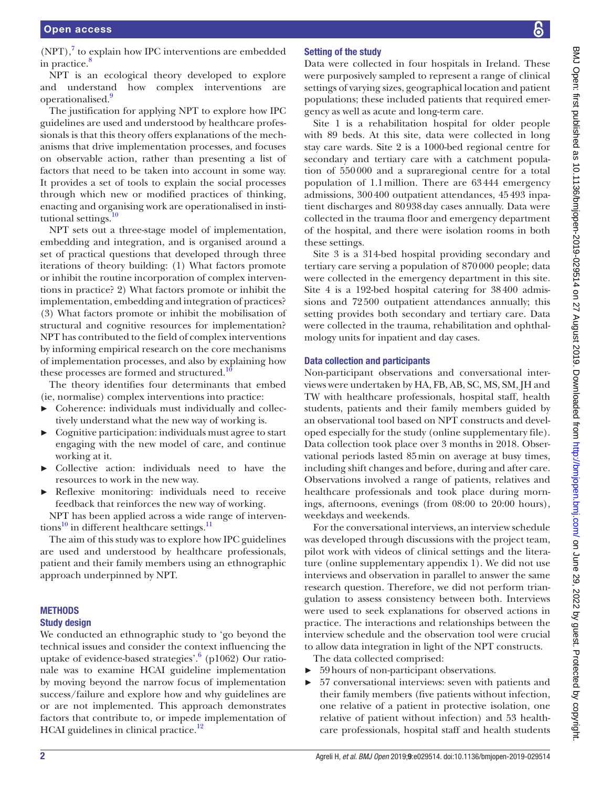$(NPT)$ ,<sup>[7](#page-7-5)</sup> to explain how IPC interventions are embedded in practice. $\frac{8}{3}$  $\frac{8}{3}$  $\frac{8}{3}$ 

NPT is an ecological theory developed to explore and understand how complex interventions are operationalised.<sup>[9](#page-7-7)</sup>

The justification for applying NPT to explore how IPC guidelines are used and understood by healthcare professionals is that this theory offers explanations of the mechanisms that drive implementation processes, and focuses on observable action, rather than presenting a list of factors that need to be taken into account in some way. It provides a set of tools to explain the social processes through which new or modified practices of thinking, enacting and organising work are operationalised in institutional settings. $10$ 

NPT sets out a three-stage model of implementation, embedding and integration, and is organised around a set of practical questions that developed through three iterations of theory building: (1) What factors promote or inhibit the routine incorporation of complex interventions in practice? 2) What factors promote or inhibit the implementation, embedding and integration of practices? (3) What factors promote or inhibit the mobilisation of structural and cognitive resources for implementation? NPT has contributed to the field of complex interventions by informing empirical research on the core mechanisms of implementation processes, and also by explaining how these processes are formed and structured.<sup>1</sup>

The theory identifies four determinants that embed (ie, normalise) complex interventions into practice:

- ► Coherence: individuals must individually and collectively understand what the new way of working is.
- ► Cognitive participation: individuals must agree to start engaging with the new model of care, and continue working at it.
- ► Collective action: individuals need to have the resources to work in the new way.
- Reflexive monitoring: individuals need to receive feedback that reinforces the new way of working.

NPT has been applied across a wide range of interventions<sup>10</sup> in different healthcare settings.<sup>11</sup>

The aim of this study was to explore how IPC guidelines are used and understood by healthcare professionals, patient and their family members using an ethnographic approach underpinned by NPT.

#### **METHODS**

#### Study design

We conducted an ethnographic study to 'go beyond the technical issues and consider the context influencing the uptake of evidence-based strategies'.<sup>[6](#page-7-4)</sup> (p1062) Our rationale was to examine HCAI guideline implementation by moving beyond the narrow focus of implementation success/failure and explore how and why guidelines are or are not implemented. This approach demonstrates factors that contribute to, or impede implementation of HCAI guidelines in clinical practice.<sup>[12](#page-7-10)</sup>

#### Setting of the study

Data were collected in four hospitals in Ireland. These were purposively sampled to represent a range of clinical settings of varying sizes, geographical location and patient populations; these included patients that required emergency as well as acute and long-term care.

Site 1 is a rehabilitation hospital for older people with 89 beds. At this site, data were collected in long stay care wards. Site 2 is a 1000-bed regional centre for secondary and tertiary care with a catchment population of 550000 and a supraregional centre for a total population of 1.1million. There are 63444 emergency admissions, 300400 outpatient attendances, 45493 inpatient discharges and 80938day cases annually. Data were collected in the trauma floor and emergency department of the hospital, and there were isolation rooms in both these settings.

Site 3 is a 314-bed hospital providing secondary and tertiary care serving a population of 870000 people; data were collected in the emergency department in this site. Site 4 is a 192-bed hospital catering for 38400 admissions and 72500 outpatient attendances annually; this setting provides both secondary and tertiary care. Data were collected in the trauma, rehabilitation and ophthalmology units for inpatient and day cases.

#### Data collection and participants

Non-participant observations and conversational interviews were undertaken by HA, FB, AB, SC, MS, SM, JH and TW with healthcare professionals, hospital staff, health students, patients and their family members guided by an observational tool based on NPT constructs and developed especially for the study [\(online supplementary file\)](https://dx.doi.org/10.1136/bmjopen-2019-029514). Data collection took place over 3 months in 2018. Observational periods lasted 85min on average at busy times, including shift changes and before, during and after care. Observations involved a range of patients, relatives and healthcare professionals and took place during mornings, afternoons, evenings (from 08:00 to 20:00 hours), weekdays and weekends.

For the conversational interviews, an interview schedule was developed through discussions with the project team, pilot work with videos of clinical settings and the literature [\(online supplementary appendix 1\)](https://dx.doi.org/10.1136/bmjopen-2019-029514). We did not use interviews and observation in parallel to answer the same research question. Therefore, we did not perform triangulation to assess consistency between both. Interviews were used to seek explanations for observed actions in practice. The interactions and relationships between the interview schedule and the observation tool were crucial to allow data integration in light of the NPT constructs. The data collected comprised:

- ► 59hours of non-participant observations.
- ► 57 conversational interviews: seven with patients and their family members (five patients without infection, one relative of a patient in protective isolation, one relative of patient without infection) and 53 healthcare professionals, hospital staff and health students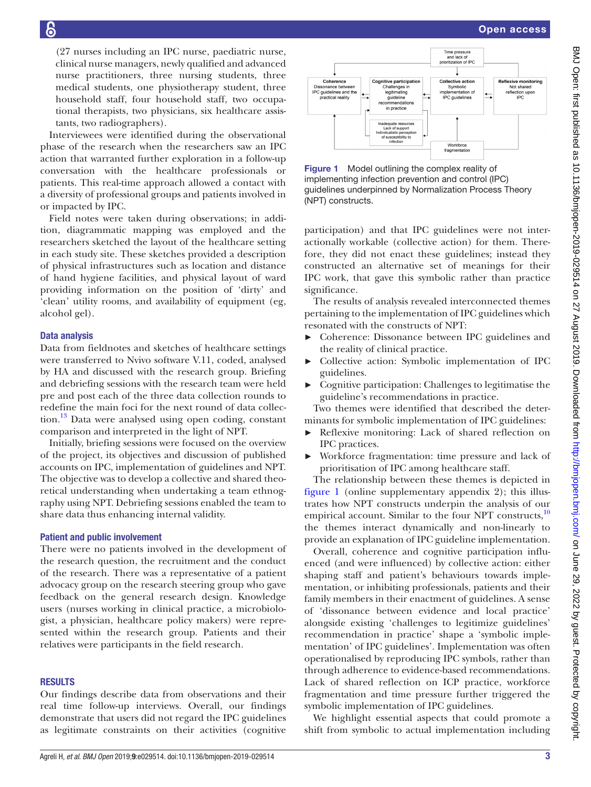(27 nurses including an IPC nurse, paediatric nurse, clinical nurse managers, newly qualified and advanced nurse practitioners, three nursing students, three medical students, one physiotherapy student, three household staff, four household staff, two occupational therapists, two physicians, six healthcare assistants, two radiographers).

Interviewees were identified during the observational phase of the research when the researchers saw an IPC action that warranted further exploration in a follow-up conversation with the healthcare professionals or patients. This real-time approach allowed a contact with a diversity of professional groups and patients involved in or impacted by IPC.

Field notes were taken during observations; in addition, diagrammatic mapping was employed and the researchers sketched the layout of the healthcare setting in each study site. These sketches provided a description of physical infrastructures such as location and distance of hand hygiene facilities, and physical layout of ward providing information on the position of 'dirty' and 'clean' utility rooms, and availability of equipment (eg, alcohol gel).

## Data analysis

Data from fieldnotes and sketches of healthcare settings were transferred to Nvivo software V.11, coded, analysed by HA and discussed with the research group. Briefing and debriefing sessions with the research team were held pre and post each of the three data collection rounds to redefine the main foci for the next round of data collection.<sup>13</sup> Data were analysed using open coding, constant comparison and interpreted in the light of NPT.

Initially, briefing sessions were focused on the overview of the project, its objectives and discussion of published accounts on IPC, implementation of guidelines and NPT. The objective was to develop a collective and shared theoretical understanding when undertaking a team ethnography using NPT. Debriefing sessions enabled the team to share data thus enhancing internal validity.

#### Patient and public involvement

There were no patients involved in the development of the research question, the recruitment and the conduct of the research. There was a representative of a patient advocacy group on the research steering group who gave feedback on the general research design. Knowledge users (nurses working in clinical practice, a microbiologist, a physician, healthcare policy makers) were represented within the research group. Patients and their relatives were participants in the field research.

#### **RESULTS**

Our findings describe data from observations and their real time follow-up interviews. Overall, our findings demonstrate that users did not regard the IPC guidelines as legitimate constraints on their activities (cognitive



<span id="page-2-0"></span>Figure 1 Model outlining the complex reality of implementing infection prevention and control (IPC) guidelines underpinned by Normalization Process Theory (NPT) constructs.

participation) and that IPC guidelines were not interactionally workable (collective action) for them. Therefore, they did not enact these guidelines; instead they constructed an alternative set of meanings for their IPC work, that gave this symbolic rather than practice significance.

The results of analysis revealed interconnected themes pertaining to the implementation of IPC guidelines which resonated with the constructs of NPT:

- ► Coherence: Dissonance between IPC guidelines and the reality of clinical practice.
- ► Collective action: Symbolic implementation of IPC guidelines.
- ► Cognitive participation: Challenges to legitimatise the guideline's recommendations in practice.

Two themes were identified that described the determinants for symbolic implementation of IPC guidelines:

- Reflexive monitoring: Lack of shared reflection on IPC practices.
- ► Workforce fragmentation: time pressure and lack of prioritisation of IPC among healthcare staff.

The relationship between these themes is depicted in [figure](#page-2-0) 1 [\(online supplementary appendix 2](https://dx.doi.org/10.1136/bmjopen-2019-029514)); this illustrates how NPT constructs underpin the analysis of our empirical account. Similar to the four NPT constructs,<sup>[10](#page-7-8)</sup> the themes interact dynamically and non-linearly to provide an explanation of IPC guideline implementation.

Overall, coherence and cognitive participation influenced (and were influenced) by collective action: either shaping staff and patient's behaviours towards implementation, or inhibiting professionals, patients and their family members in their enactment of guidelines. A sense of 'dissonance between evidence and local practice' alongside existing 'challenges to legitimize guidelines' recommendation in practice' shape a 'symbolic implementation' of IPC guidelines'. Implementation was often operationalised by reproducing IPC symbols, rather than through adherence to evidence-based recommendations. Lack of shared reflection on ICP practice, workforce fragmentation and time pressure further triggered the symbolic implementation of IPC guidelines.

We highlight essential aspects that could promote a shift from symbolic to actual implementation including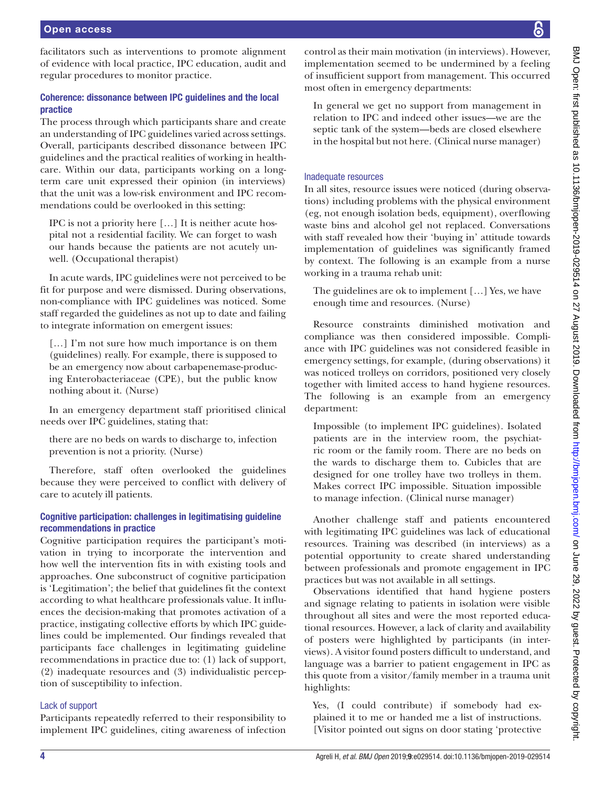facilitators such as interventions to promote alignment of evidence with local practice, IPC education, audit and regular procedures to monitor practice.

## Coherence: dissonance between IPC guidelines and the local practice

The process through which participants share and create an understanding of IPC guidelines varied across settings. Overall, participants described dissonance between IPC guidelines and the practical realities of working in healthcare. Within our data, participants working on a longterm care unit expressed their opinion (in interviews) that the unit was a low-risk environment and IPC recommendations could be overlooked in this setting:

IPC is not a priority here […] It is neither acute hospital not a residential facility. We can forget to wash our hands because the patients are not acutely unwell. (Occupational therapist)

In acute wards, IPC guidelines were not perceived to be fit for purpose and were dismissed. During observations, non-compliance with IPC guidelines was noticed. Some staff regarded the guidelines as not up to date and failing to integrate information on emergent issues:

[...] I'm not sure how much importance is on them (guidelines) really. For example, there is supposed to be an emergency now about carbapenemase-producing Enterobacteriaceae (CPE), but the public know nothing about it. (Nurse)

In an emergency department staff prioritised clinical needs over IPC guidelines, stating that:

there are no beds on wards to discharge to, infection prevention is not a priority. (Nurse)

Therefore, staff often overlooked the guidelines because they were perceived to conflict with delivery of care to acutely ill patients.

## Cognitive participation: challenges in legitimatising guideline recommendations in practice

Cognitive participation requires the participant's motivation in trying to incorporate the intervention and how well the intervention fits in with existing tools and approaches. One subconstruct of cognitive participation is 'Legitimation'; the belief that guidelines fit the context according to what healthcare professionals value. It influences the decision-making that promotes activation of a practice, instigating collective efforts by which IPC guidelines could be implemented. Our findings revealed that participants face challenges in legitimating guideline recommendations in practice due to: (1) lack of support, (2) inadequate resources and (3) individualistic perception of susceptibility to infection.

## Lack of support

Participants repeatedly referred to their responsibility to implement IPC guidelines, citing awareness of infection

control as their main motivation (in interviews). However, implementation seemed to be undermined by a feeling of insufficient support from management. This occurred most often in emergency departments:

In general we get no support from management in relation to IPC and indeed other issues—we are the septic tank of the system—beds are closed elsewhere in the hospital but not here. (Clinical nurse manager)

## Inadequate resources

In all sites, resource issues were noticed (during observations) including problems with the physical environment (eg, not enough isolation beds, equipment), overflowing waste bins and alcohol gel not replaced. Conversations with staff revealed how their 'buying in' attitude towards implementation of guidelines was significantly framed by context. The following is an example from a nurse working in a trauma rehab unit:

The guidelines are ok to implement […] Yes, we have enough time and resources. (Nurse)

Resource constraints diminished motivation and compliance was then considered impossible. Compliance with IPC guidelines was not considered feasible in emergency settings, for example, (during observations) it was noticed trolleys on corridors, positioned very closely together with limited access to hand hygiene resources. The following is an example from an emergency department:

Impossible (to implement IPC guidelines). Isolated patients are in the interview room, the psychiatric room or the family room. There are no beds on the wards to discharge them to. Cubicles that are designed for one trolley have two trolleys in them. Makes correct IPC impossible. Situation impossible to manage infection. (Clinical nurse manager)

Another challenge staff and patients encountered with legitimating IPC guidelines was lack of educational resources. Training was described (in interviews) as a potential opportunity to create shared understanding between professionals and promote engagement in IPC practices but was not available in all settings.

Observations identified that hand hygiene posters and signage relating to patients in isolation were visible throughout all sites and were the most reported educational resources. However, a lack of clarity and availability of posters were highlighted by participants (in interviews). A visitor found posters difficult to understand, and language was a barrier to patient engagement in IPC as this quote from a visitor/family member in a trauma unit highlights:

Yes, (I could contribute) if somebody had explained it to me or handed me a list of instructions. [Visitor pointed out signs on door stating 'protective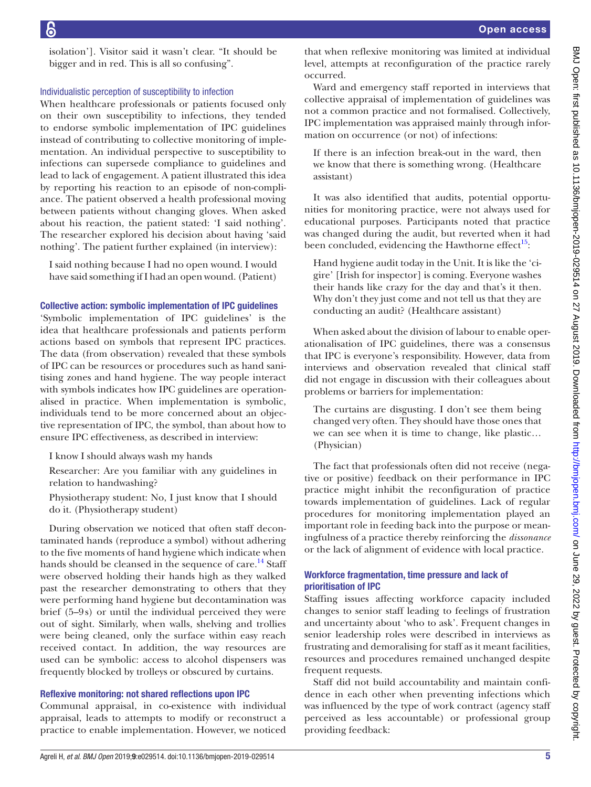isolation']. Visitor said it wasn't clear. "It should be bigger and in red. This is all so confusing".

## Individualistic perception of susceptibility to infection

When healthcare professionals or patients focused only on their own susceptibility to infections, they tended to endorse symbolic implementation of IPC guidelines instead of contributing to collective monitoring of implementation. An individual perspective to susceptibility to infections can supersede compliance to guidelines and lead to lack of engagement. A patient illustrated this idea by reporting his reaction to an episode of non-compliance. The patient observed a health professional moving between patients without changing gloves. When asked about his reaction, the patient stated: 'I said nothing'. The researcher explored his decision about having 'said nothing'. The patient further explained (in interview):

I said nothing because I had no open wound. I would have said something if I had an open wound. (Patient)

## Collective action: symbolic implementation of IPC guidelines

'Symbolic implementation of IPC guidelines' is the idea that healthcare professionals and patients perform actions based on symbols that represent IPC practices. The data (from observation) revealed that these symbols of IPC can be resources or procedures such as hand sanitising zones and hand hygiene. The way people interact with symbols indicates how IPC guidelines are operationalised in practice. When implementation is symbolic, individuals tend to be more concerned about an objective representation of IPC, the symbol, than about how to ensure IPC effectiveness, as described in interview:

I know I should always wash my hands

Researcher: Are you familiar with any guidelines in relation to handwashing?

Physiotherapy student: No, I just know that I should do it. (Physiotherapy student)

During observation we noticed that often staff decontaminated hands (reproduce a symbol) without adhering to the five moments of hand hygiene which indicate when hands should be cleansed in the sequence of care.<sup>14</sup> Staff were observed holding their hands high as they walked past the researcher demonstrating to others that they were performing hand hygiene but decontamination was brief (5–9s) or until the individual perceived they were out of sight. Similarly, when walls, shelving and trollies were being cleaned, only the surface within easy reach received contact. In addition, the way resources are used can be symbolic: access to alcohol dispensers was frequently blocked by trolleys or obscured by curtains.

## Reflexive monitoring: not shared reflections upon IPC

Communal appraisal, in co-existence with individual appraisal, leads to attempts to modify or reconstruct a practice to enable implementation. However, we noticed

that when reflexive monitoring was limited at individual level, attempts at reconfiguration of the practice rarely occurred.

Ward and emergency staff reported in interviews that collective appraisal of implementation of guidelines was not a common practice and not formalised. Collectively, IPC implementation was appraised mainly through information on occurrence (or not) of infections:

If there is an infection break-out in the ward, then we know that there is something wrong. (Healthcare assistant)

It was also identified that audits, potential opportunities for monitoring practice, were not always used for educational purposes. Participants noted that practice was changed during the audit, but reverted when it had been concluded, evidencing the Hawthorne effect $15$ :

Hand hygiene audit today in the Unit. It is like the 'cigire' [Irish for inspector] is coming. Everyone washes their hands like crazy for the day and that's it then. Why don't they just come and not tell us that they are conducting an audit? (Healthcare assistant)

When asked about the division of labour to enable operationalisation of IPC guidelines, there was a consensus that IPC is everyone's responsibility. However, data from interviews and observation revealed that clinical staff did not engage in discussion with their colleagues about problems or barriers for implementation:

The curtains are disgusting. I don't see them being changed very often. They should have those ones that we can see when it is time to change, like plastic… (Physician)

The fact that professionals often did not receive (negative or positive) feedback on their performance in IPC practice might inhibit the reconfiguration of practice towards implementation of guidelines. Lack of regular procedures for monitoring implementation played an important role in feeding back into the purpose or meaningfulness of a practice thereby reinforcing the *dissonance* or the lack of alignment of evidence with local practice.

## Workforce fragmentation, time pressure and lack of prioritisation of IPC

Staffing issues affecting workforce capacity included changes to senior staff leading to feelings of frustration and uncertainty about 'who to ask'. Frequent changes in senior leadership roles were described in interviews as frustrating and demoralising for staff as it meant facilities, resources and procedures remained unchanged despite frequent requests.

Staff did not build accountability and maintain confidence in each other when preventing infections which was influenced by the type of work contract (agency staff perceived as less accountable) or professional group providing feedback: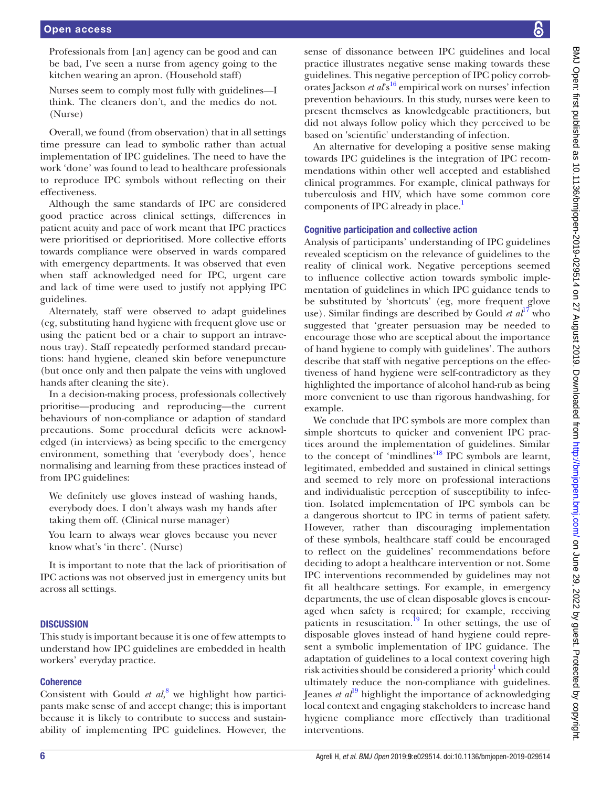Professionals from [an] agency can be good and can be bad, I've seen a nurse from agency going to the kitchen wearing an apron. (Household staff)

Nurses seem to comply most fully with guidelines—I think. The cleaners don't, and the medics do not. (Nurse)

Overall, we found (from observation) that in all settings time pressure can lead to symbolic rather than actual implementation of IPC guidelines. The need to have the work 'done' was found to lead to healthcare professionals to reproduce IPC symbols without reflecting on their effectiveness.

Although the same standards of IPC are considered good practice across clinical settings, differences in patient acuity and pace of work meant that IPC practices were prioritised or deprioritised. More collective efforts towards compliance were observed in wards compared with emergency departments. It was observed that even when staff acknowledged need for IPC, urgent care and lack of time were used to justify not applying IPC guidelines.

Alternately, staff were observed to adapt guidelines (eg, substituting hand hygiene with frequent glove use or using the patient bed or a chair to support an intravenous tray). Staff repeatedly performed standard precautions: hand hygiene, cleaned skin before venepuncture (but once only and then palpate the veins with ungloved hands after cleaning the site).

In a decision-making process, professionals collectively prioritise—producing and reproducing—the current behaviours of non-compliance or adaption of standard precautions. Some procedural deficits were acknowledged (in interviews) as being specific to the emergency environment, something that 'everybody does', hence normalising and learning from these practices instead of from IPC guidelines:

We definitely use gloves instead of washing hands, everybody does. I don't always wash my hands after taking them off. (Clinical nurse manager)

You learn to always wear gloves because you never know what's 'in there'. (Nurse)

It is important to note that the lack of prioritisation of IPC actions was not observed just in emergency units but across all settings.

#### **DISCUSSION**

This study is important because it is one of few attempts to understand how IPC guidelines are embedded in health workers' everyday practice.

#### **Coherence**

Consistent with Gould *et al*,<sup>[8](#page-7-6)</sup> we highlight how participants make sense of and accept change; this is important because it is likely to contribute to success and sustainability of implementing IPC guidelines. However, the

sense of dissonance between IPC guidelines and local practice illustrates negative sense making towards these guidelines. This negative perception of IPC policy corroborates Jackson *et al*<sup>s16</sup> empirical work on nurses' infection prevention behaviours. In this study, nurses were keen to present themselves as knowledgeable practitioners, but did not always follow policy which they perceived to be based on 'scientific' understanding of infection.

An alternative for developing a positive sense making towards IPC guidelines is the integration of IPC recommendations within other well accepted and established clinical programmes. For example, clinical pathways for tuberculosis and HIV, which have some common core components of IPC already in place.<sup>[1](#page-7-0)</sup>

#### Cognitive participation and collective action

Analysis of participants' understanding of IPC guidelines revealed scepticism on the relevance of guidelines to the reality of clinical work. Negative perceptions seemed to influence collective action towards symbolic implementation of guidelines in which IPC guidance tends to be substituted by 'shortcuts' (eg, more frequent glove use). Similar findings are described by Gould *et al*<sup>17</sup> who suggested that 'greater persuasion may be needed to encourage those who are sceptical about the importance of hand hygiene to comply with guidelines'. The authors describe that staff with negative perceptions on the effectiveness of hand hygiene were self-contradictory as they highlighted the importance of alcohol hand-rub as being more convenient to use than rigorous handwashing, for example.

We conclude that IPC symbols are more complex than simple shortcuts to quicker and convenient IPC practices around the implementation of guidelines. Similar to the concept of 'mindlines'[18](#page-7-16) IPC symbols are learnt, legitimated, embedded and sustained in clinical settings and seemed to rely more on professional interactions and individualistic perception of susceptibility to infection. Isolated implementation of IPC symbols can be a dangerous shortcut to IPC in terms of patient safety. However, rather than discouraging implementation of these symbols, healthcare staff could be encouraged to reflect on the guidelines' recommendations before deciding to adopt a healthcare intervention or not. Some IPC interventions recommended by guidelines may not fit all healthcare settings. For example, in emergency departments, the use of clean disposable gloves is encouraged when safety is required; for example, receiving patients in resuscitation.<sup>19</sup> In other settings, the use of disposable gloves instead of hand hygiene could represent a symbolic implementation of IPC guidance. The adaptation of guidelines to a local context covering high risk activities should be considered a priority<sup>[1](#page-7-0)</sup> which could ultimately reduce the non-compliance with guidelines. Jeanes *et al*[19](#page-7-17) highlight the importance of acknowledging local context and engaging stakeholders to increase hand hygiene compliance more effectively than traditional interventions.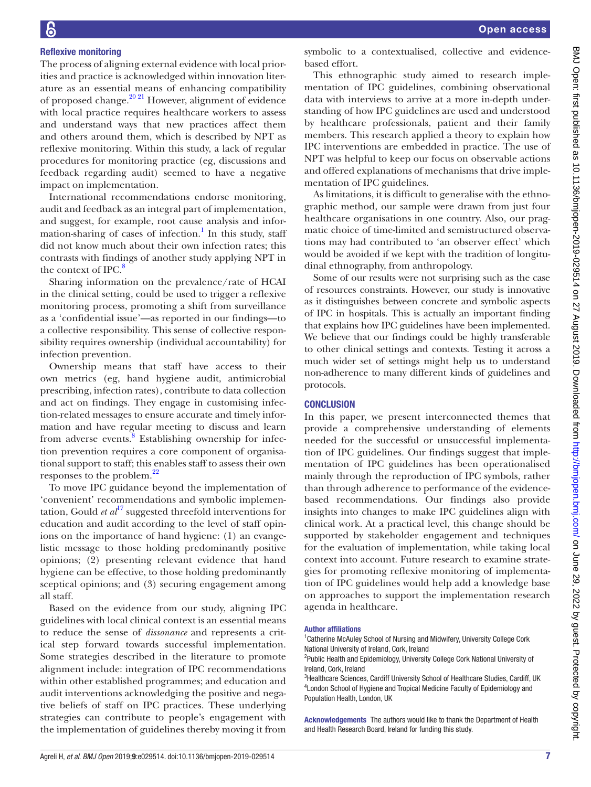## Reflexive monitoring

The process of aligning external evidence with local priorities and practice is acknowledged within innovation literature as an essential means of enhancing compatibility of proposed change.<sup>20 21</sup> However, alignment of evidence with local practice requires healthcare workers to assess and understand ways that new practices affect them and others around them, which is described by NPT as reflexive monitoring. Within this study, a lack of regular procedures for monitoring practice (eg, discussions and feedback regarding audit) seemed to have a negative impact on implementation.

International recommendations endorse monitoring, audit and feedback as an integral part of implementation, and suggest, for example, root cause analysis and information-sharing of cases of infection.<sup>1</sup> In this study, staff did not know much about their own infection rates; this contrasts with findings of another study applying NPT in the context of IPC.<sup>[8](#page-7-6)</sup>

Sharing information on the prevalence/rate of HCAI in the clinical setting, could be used to trigger a reflexive monitoring process, promoting a shift from surveillance as a 'confidential issue'—as reported in our findings—to a collective responsibility. This sense of collective responsibility requires ownership (individual accountability) for infection prevention.

Ownership means that staff have access to their own metrics (eg, hand hygiene audit, antimicrobial prescribing, infection rates), contribute to data collection and act on findings. They engage in customising infection-related messages to ensure accurate and timely information and have regular meeting to discuss and learn from adverse events.<sup>[8](#page-7-6)</sup> Establishing ownership for infection prevention requires a core component of organisational support to staff; this enables staff to assess their own responses to the problem.<sup>22</sup>

To move IPC guidance beyond the implementation of 'convenient' recommendations and symbolic implementation, Gould *et al*<sup>17</sup> suggested threefold interventions for education and audit according to the level of staff opinions on the importance of hand hygiene: (1) an evangelistic message to those holding predominantly positive opinions; (2) presenting relevant evidence that hand hygiene can be effective, to those holding predominantly sceptical opinions; and (3) securing engagement among all staff.

Based on the evidence from our study, aligning IPC guidelines with local clinical context is an essential means to reduce the sense of *dissonance* and represents a critical step forward towards successful implementation. Some strategies described in the literature to promote alignment include: integration of IPC recommendations within other established programmes; and education and audit interventions acknowledging the positive and negative beliefs of staff on IPC practices. These underlying strategies can contribute to people's engagement with the implementation of guidelines thereby moving it from

symbolic to a contextualised, collective and evidencebased effort.

This ethnographic study aimed to research implementation of IPC guidelines, combining observational data with interviews to arrive at a more in-depth understanding of how IPC guidelines are used and understood by healthcare professionals, patient and their family members. This research applied a theory to explain how IPC interventions are embedded in practice. The use of NPT was helpful to keep our focus on observable actions and offered explanations of mechanisms that drive implementation of IPC guidelines.

As limitations, it is difficult to generalise with the ethnographic method, our sample were drawn from just four healthcare organisations in one country. Also, our pragmatic choice of time-limited and semistructured observations may had contributed to 'an observer effect' which would be avoided if we kept with the tradition of longitudinal ethnography, from anthropology.

Some of our results were not surprising such as the case of resources constraints. However, our study is innovative as it distinguishes between concrete and symbolic aspects of IPC in hospitals. This is actually an important finding that explains how IPC guidelines have been implemented. We believe that our findings could be highly transferable to other clinical settings and contexts. Testing it across a much wider set of settings might help us to understand non-adherence to many different kinds of guidelines and protocols.

## **CONCLUSION**

In this paper, we present interconnected themes that provide a comprehensive understanding of elements needed for the successful or unsuccessful implementation of IPC guidelines. Our findings suggest that implementation of IPC guidelines has been operationalised mainly through the reproduction of IPC symbols, rather than through adherence to performance of the evidencebased recommendations. Our findings also provide insights into changes to make IPC guidelines align with clinical work. At a practical level, this change should be supported by stakeholder engagement and techniques for the evaluation of implementation, while taking local context into account. Future research to examine strategies for promoting reflexive monitoring of implementation of IPC guidelines would help add a knowledge base on approaches to support the implementation research agenda in healthcare.

#### Author affiliations

<sup>1</sup> Catherine McAuley School of Nursing and Midwifery, University College Cork National University of Ireland, Cork, Ireland

<sup>2</sup>Public Health and Epidemiology, University College Cork National University of Ireland, Cork, Ireland

<sup>3</sup>Healthcare Sciences, Cardiff University School of Healthcare Studies, Cardiff, UK <sup>4</sup> London School of Hygiene and Tropical Medicine Faculty of Epidemiology and Population Health, London, UK

Acknowledgements The authors would like to thank the Department of Health and Health Research Board, Ireland for funding this study.